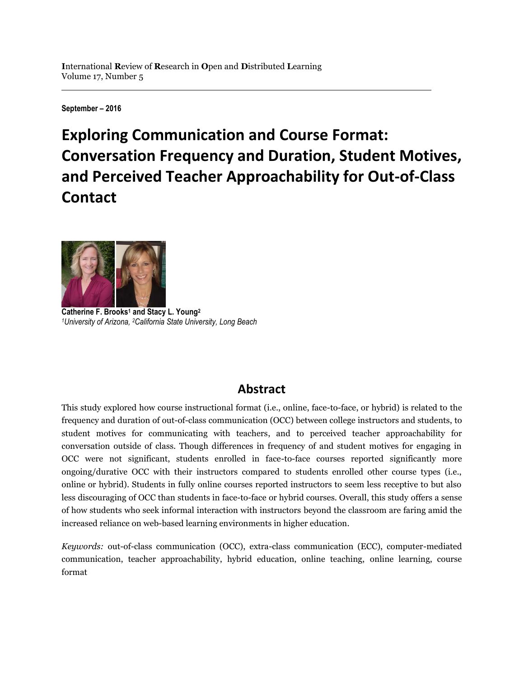**September – 2016**

# **Exploring Communication and Course Format: Conversation Frequency and Duration, Student Motives, and Perceived Teacher Approachability for Out-of-Class Contact**



**Catherine F. Brooks<sup>1</sup> and Stacy L. Young<sup>2</sup>** *<sup>1</sup>University of Arizona, <sup>2</sup>California State University, Long Beach*

# **Abstract**

This study explored how course instructional format (i.e., online, face-to-face, or hybrid) is related to the frequency and duration of out-of-class communication (OCC) between college instructors and students, to student motives for communicating with teachers, and to perceived teacher approachability for conversation outside of class. Though differences in frequency of and student motives for engaging in OCC were not significant, students enrolled in face-to-face courses reported significantly more ongoing/durative OCC with their instructors compared to students enrolled other course types (i.e., online or hybrid). Students in fully online courses reported instructors to seem less receptive to but also less discouraging of OCC than students in face-to-face or hybrid courses. Overall, this study offers a sense of how students who seek informal interaction with instructors beyond the classroom are faring amid the increased reliance on web-based learning environments in higher education.

*Keywords:* out-of-class communication (OCC), extra-class communication (ECC), computer-mediated communication, teacher approachability, hybrid education, online teaching, online learning, course format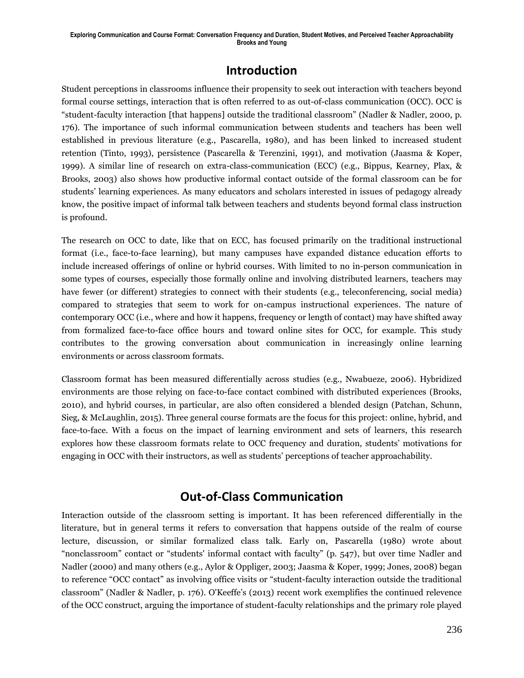# **Introduction**

Student perceptions in classrooms influence their propensity to seek out interaction with teachers beyond formal course settings, interaction that is often referred to as out-of-class communication (OCC). OCC is "student-faculty interaction [that happens] outside the traditional classroom" (Nadler & Nadler, 2000, p. 176). The importance of such informal communication between students and teachers has been well established in previous literature (e.g., Pascarella, 1980), and has been linked to increased student retention (Tinto, 1993), persistence (Pascarella & Terenzini, 1991), and motivation (Jaasma & Koper, 1999). A similar line of research on extra-class-communication (ECC) (e.g., Bippus, Kearney, Plax, & Brooks, 2003) also shows how productive informal contact outside of the formal classroom can be for students' learning experiences. As many educators and scholars interested in issues of pedagogy already know, the positive impact of informal talk between teachers and students beyond formal class instruction is profound.

The research on OCC to date, like that on ECC, has focused primarily on the traditional instructional format (i.e., face-to-face learning), but many campuses have expanded distance education efforts to include increased offerings of online or hybrid courses. With limited to no in-person communication in some types of courses, especially those formally online and involving distributed learners, teachers may have fewer (or different) strategies to connect with their students (e.g., teleconferencing, social media) compared to strategies that seem to work for on-campus instructional experiences. The nature of contemporary OCC (i.e., where and how it happens, frequency or length of contact) may have shifted away from formalized face-to-face office hours and toward online sites for OCC, for example. This study contributes to the growing conversation about communication in increasingly online learning environments or across classroom formats.

Classroom format has been measured differentially across studies (e.g., Nwabueze, 2006). Hybridized environments are those relying on face-to-face contact combined with distributed experiences (Brooks, 2010), and hybrid courses, in particular, are also often considered a blended design (Patchan, Schunn, Sieg, & McLaughlin, 2015). Three general course formats are the focus for this project: online, hybrid, and face-to-face. With a focus on the impact of learning environment and sets of learners, this research explores how these classroom formats relate to OCC frequency and duration, students' motivations for engaging in OCC with their instructors, as well as students' perceptions of teacher approachability.

# **Out-of-Class Communication**

Interaction outside of the classroom setting is important. It has been referenced differentially in the literature, but in general terms it refers to conversation that happens outside of the realm of course lecture, discussion, or similar formalized class talk. Early on, Pascarella (1980) wrote about "nonclassroom" contact or "students' informal contact with faculty" (p. 547), but over time Nadler and Nadler (2000) and many others (e.g., Aylor & Oppliger, 2003; Jaasma & Koper, 1999; Jones, 2008) began to reference "OCC contact" as involving office visits or "student-faculty interaction outside the traditional classroom" (Nadler & Nadler, p. 176). O'Keeffe's (2013) recent work exemplifies the continued relevence of the OCC construct, arguing the importance of student-faculty relationships and the primary role played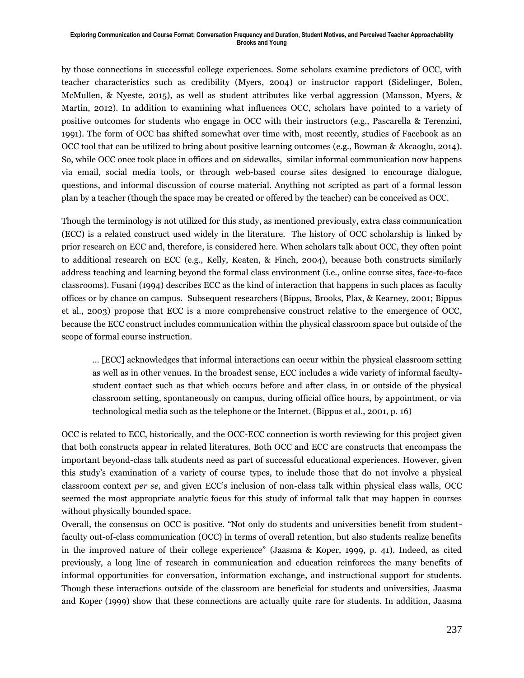by those connections in successful college experiences. Some scholars examine predictors of OCC, with teacher characteristics such as credibility (Myers, 2004) or instructor rapport (Sidelinger, Bolen, McMullen, & Nyeste, 2015), as well as student attributes like verbal aggression (Mansson, Myers, & Martin, 2012). In addition to examining what influences OCC, scholars have pointed to a variety of positive outcomes for students who engage in OCC with their instructors (e.g., Pascarella & Terenzini, 1991). The form of OCC has shifted somewhat over time with, most recently, studies of Facebook as an OCC tool that can be utilized to bring about positive learning outcomes (e.g., Bowman & Akcaoglu, 2014). So, while OCC once took place in offices and on sidewalks, similar informal communication now happens via email, social media tools, or through web-based course sites designed to encourage dialogue, questions, and informal discussion of course material. Anything not scripted as part of a formal lesson plan by a teacher (though the space may be created or offered by the teacher) can be conceived as OCC.

Though the terminology is not utilized for this study, as mentioned previously, extra class communication (ECC) is a related construct used widely in the literature. The history of OCC scholarship is linked by prior research on ECC and, therefore, is considered here. When scholars talk about OCC, they often point to additional research on ECC (e.g., Kelly, Keaten, & Finch, 2004), because both constructs similarly address teaching and learning beyond the formal class environment (i.e., online course sites, face-to-face classrooms). Fusani (1994) describes ECC as the kind of interaction that happens in such places as faculty offices or by chance on campus. Subsequent researchers (Bippus, Brooks, Plax, & Kearney, 2001; Bippus et al., 2003) propose that ECC is a more comprehensive construct relative to the emergence of OCC, because the ECC construct includes communication within the physical classroom space but outside of the scope of formal course instruction.

… [ECC] acknowledges that informal interactions can occur within the physical classroom setting as well as in other venues. In the broadest sense, ECC includes a wide variety of informal facultystudent contact such as that which occurs before and after class, in or outside of the physical classroom setting, spontaneously on campus, during official office hours, by appointment, or via technological media such as the telephone or the Internet. (Bippus et al., 2001, p. 16)

OCC is related to ECC, historically, and the OCC-ECC connection is worth reviewing for this project given that both constructs appear in related literatures. Both OCC and ECC are constructs that encompass the important beyond-class talk students need as part of successful educational experiences. However, given this study's examination of a variety of course types, to include those that do not involve a physical classroom context *per se*, and given ECC's inclusion of non-class talk within physical class walls, OCC seemed the most appropriate analytic focus for this study of informal talk that may happen in courses without physically bounded space.

Overall, the consensus on OCC is positive. "Not only do students and universities benefit from studentfaculty out-of-class communication (OCC) in terms of overall retention, but also students realize benefits in the improved nature of their college experience" (Jaasma & Koper, 1999, p. 41). Indeed, as cited previously, a long line of research in communication and education reinforces the many benefits of informal opportunities for conversation, information exchange, and instructional support for students. Though these interactions outside of the classroom are beneficial for students and universities, Jaasma and Koper (1999) show that these connections are actually quite rare for students. In addition, Jaasma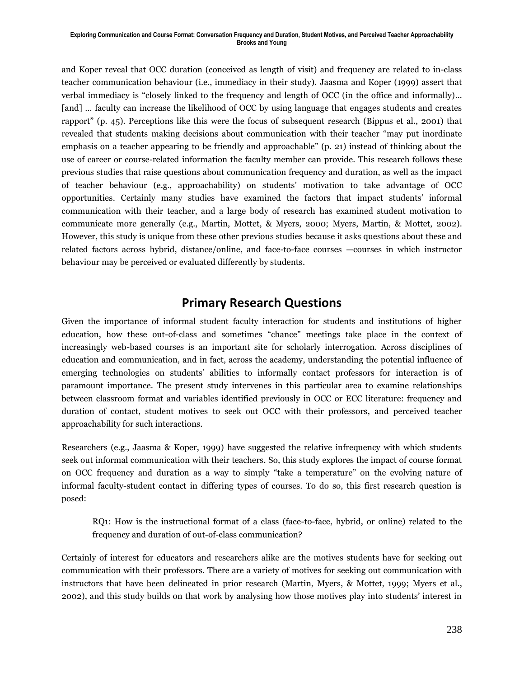and Koper reveal that OCC duration (conceived as length of visit) and frequency are related to in-class teacher communication behaviour (i.e., immediacy in their study). Jaasma and Koper (1999) assert that verbal immediacy is "closely linked to the frequency and length of OCC (in the office and informally)… [and] … faculty can increase the likelihood of OCC by using language that engages students and creates rapport" (p. 45). Perceptions like this were the focus of subsequent research (Bippus et al., 2001) that revealed that students making decisions about communication with their teacher "may put inordinate emphasis on a teacher appearing to be friendly and approachable" (p. 21) instead of thinking about the use of career or course-related information the faculty member can provide. This research follows these previous studies that raise questions about communication frequency and duration, as well as the impact of teacher behaviour (e.g., approachability) on students' motivation to take advantage of OCC opportunities. Certainly many studies have examined the factors that impact students' informal communication with their teacher, and a large body of research has examined student motivation to communicate more generally (e.g., Martin, Mottet, & Myers, 2000; Myers, Martin, & Mottet, 2002). However, this study is unique from these other previous studies because it asks questions about these and related factors across hybrid, distance/online, and face-to-face courses —courses in which instructor behaviour may be perceived or evaluated differently by students.

### **Primary Research Questions**

Given the importance of informal student faculty interaction for students and institutions of higher education, how these out-of-class and sometimes "chance" meetings take place in the context of increasingly web-based courses is an important site for scholarly interrogation. Across disciplines of education and communication, and in fact, across the academy, understanding the potential influence of emerging technologies on students' abilities to informally contact professors for interaction is of paramount importance. The present study intervenes in this particular area to examine relationships between classroom format and variables identified previously in OCC or ECC literature: frequency and duration of contact, student motives to seek out OCC with their professors, and perceived teacher approachability for such interactions.

Researchers (e.g., Jaasma & Koper, 1999) have suggested the relative infrequency with which students seek out informal communication with their teachers. So, this study explores the impact of course format on OCC frequency and duration as a way to simply "take a temperature" on the evolving nature of informal faculty-student contact in differing types of courses. To do so, this first research question is posed:

RQ1: How is the instructional format of a class (face-to-face, hybrid, or online) related to the frequency and duration of out-of-class communication?

Certainly of interest for educators and researchers alike are the motives students have for seeking out communication with their professors. There are a variety of motives for seeking out communication with instructors that have been delineated in prior research (Martin, Myers, & Mottet, 1999; Myers et al., 2002), and this study builds on that work by analysing how those motives play into students' interest in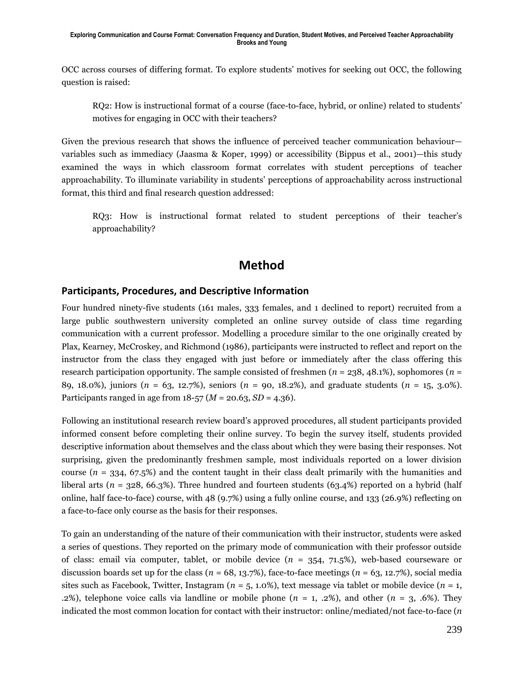OCC across courses of differing format. To explore students' motives for seeking out OCC, the following question is raised:

RQ2: How is instructional format of a course (face-to-face, hybrid, or online) related to students' motives for engaging in OCC with their teachers?

Given the previous research that shows the influence of perceived teacher communication behaviour variables such as immediacy (Jaasma & Koper, 1999) or accessibility (Bippus et al., 2001)—this study examined the ways in which classroom format correlates with student perceptions of teacher approachability. To illuminate variability in students' perceptions of approachability across instructional format, this third and final research question addressed:

RQ3: How is instructional format related to student perceptions of their teacher's approachability?

## **Method**

### **Participants, Procedures, and Descriptive Information**

Four hundred ninety-five students (161 males, 333 females, and 1 declined to report) recruited from a large public southwestern university completed an online survey outside of class time regarding communication with a current professor. Modelling a procedure similar to the one originally created by Plax, Kearney, McCroskey, and Richmond (1986), participants were instructed to reflect and report on the instructor from the class they engaged with just before or immediately after the class offering this research participation opportunity. The sample consisted of freshmen (*n* = 238, 48.1%), sophomores (*n* = 89, 18.0%), juniors (*n* = 63, 12.7%), seniors (*n* = 90, 18.2%), and graduate students (*n* = 15, 3.0%). Participants ranged in age from 18-57 (*M* = 20.63, *SD* = 4.36).

Following an institutional research review board's approved procedures, all student participants provided informed consent before completing their online survey. To begin the survey itself, students provided descriptive information about themselves and the class about which they were basing their responses. Not surprising, given the predominantly freshmen sample, most individuals reported on a lower division course  $(n = 334, 67.5\%)$  and the content taught in their class dealt primarily with the humanities and liberal arts ( $n = 328, 66.3\%$ ). Three hundred and fourteen students (63.4%) reported on a hybrid (half online, half face-to-face) course, with 48 (9.7%) using a fully online course, and 133 (26.9%) reflecting on a face-to-face only course as the basis for their responses.

To gain an understanding of the nature of their communication with their instructor, students were asked a series of questions. They reported on the primary mode of communication with their professor outside of class: email via computer, tablet, or mobile device (*n* = 354, 71.5%), web-based courseware or discussion boards set up for the class (*n* = 68, 13.7%), face-to-face meetings (*n* = 63, 12.7%), social media sites such as Facebook, Twitter, Instagram ( $n = 5, 1.0\%$ ), text message via tablet or mobile device ( $n = 1$ , .2%), telephone voice calls via landline or mobile phone  $(n = 1, 0.2)$ , and other  $(n = 3, 0.6)$ . They indicated the most common location for contact with their instructor: online/mediated/not face-to-face (*n*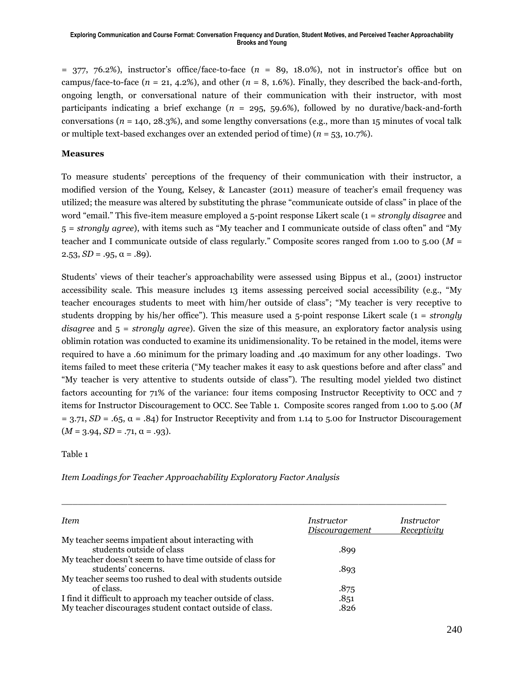$=$  377, 76.2%), instructor's office/face-to-face  $(n = 89, 18.0\%)$ , not in instructor's office but on campus/face-to-face (*n* = 21, 4.2%), and other (*n* = 8, 1.6%). Finally, they described the back-and-forth, ongoing length, or conversational nature of their communication with their instructor, with most participants indicating a brief exchange (*n* = 295, 59.6%), followed by no durative/back-and-forth conversations (*n* = 140, 28.3%), and some lengthy conversations (e.g., more than 15 minutes of vocal talk or multiple text-based exchanges over an extended period of time) (*n* = 53, 10.7%).

### **Measures**

To measure students' perceptions of the frequency of their communication with their instructor, a modified version of the Young, Kelsey, & Lancaster (2011) measure of teacher's email frequency was utilized; the measure was altered by substituting the phrase "communicate outside of class" in place of the word "email." This five-item measure employed a 5-point response Likert scale (1 = *strongly disagree* and 5 = *strongly agree*), with items such as "My teacher and I communicate outside of class often" and "My teacher and I communicate outside of class regularly." Composite scores ranged from 1.00 to 5.00 (*M* =  $2.53, SD = .95, \alpha = .89$ .

Students' views of their teacher's approachability were assessed using Bippus et al., (2001) instructor accessibility scale. This measure includes 13 items assessing perceived social accessibility (e.g., "My teacher encourages students to meet with him/her outside of class"; "My teacher is very receptive to students dropping by his/her office"). This measure used a 5-point response Likert scale (1 = *strongly disagree* and 5 = *strongly agree*). Given the size of this measure, an exploratory factor analysis using oblimin rotation was conducted to examine its unidimensionality. To be retained in the model, items were required to have a .60 minimum for the primary loading and .40 maximum for any other loadings. Two items failed to meet these criteria ("My teacher makes it easy to ask questions before and after class" and "My teacher is very attentive to students outside of class"). The resulting model yielded two distinct factors accounting for 71% of the variance: four items composing Instructor Receptivity to OCC and 7 items for Instructor Discouragement to OCC. See Table 1. Composite scores ranged from 1.00 to 5.00 (*M*  $= 3.71, SD = .65, \alpha = .84$ ) for Instructor Receptivity and from 1.14 to 5.00 for Instructor Discouragement  $(M = 3.94, SD = .71, \alpha = .93).$ 

Table 1

### *Item Loadings for Teacher Approachability Exploratory Factor Analysis*

| <b>Item</b>                                                  | Instructor<br><i>Discouragement</i> | Instructor<br>Receptivity |
|--------------------------------------------------------------|-------------------------------------|---------------------------|
| My teacher seems impatient about interacting with            |                                     |                           |
| students outside of class                                    | .899                                |                           |
| My teacher doesn't seem to have time outside of class for    |                                     |                           |
| students' concerns.                                          | .893                                |                           |
| My teacher seems too rushed to deal with students outside    |                                     |                           |
| of class.                                                    | .875                                |                           |
| I find it difficult to approach my teacher outside of class. | .851                                |                           |
| My teacher discourages student contact outside of class.     | .826                                |                           |

 $\_$  ,  $\_$  ,  $\_$  ,  $\_$  ,  $\_$  ,  $\_$  ,  $\_$  ,  $\_$  ,  $\_$  ,  $\_$  ,  $\_$  ,  $\_$  ,  $\_$  ,  $\_$  ,  $\_$  ,  $\_$  ,  $\_$  ,  $\_$  ,  $\_$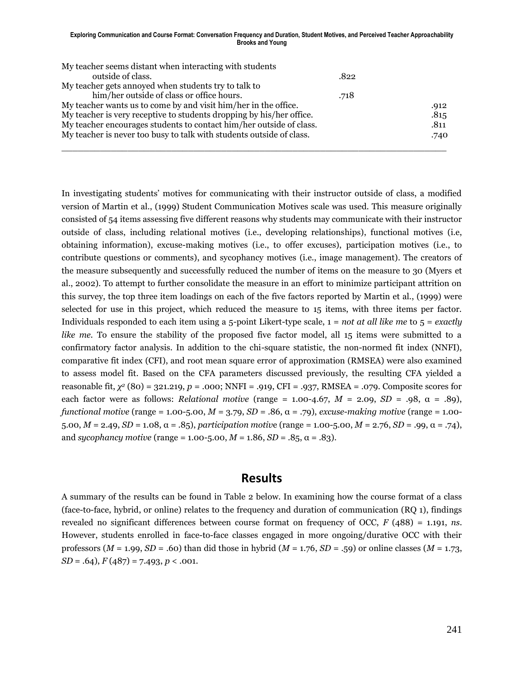| My teacher seems distant when interacting with students              |      |      |
|----------------------------------------------------------------------|------|------|
| outside of class.                                                    | .822 |      |
| My teacher gets annoyed when students try to talk to                 |      |      |
| him/her outside of class or office hours.                            | .718 |      |
| My teacher wants us to come by and visit him/her in the office.      | .912 |      |
| My teacher is very receptive to students dropping by his/her office. |      |      |
| My teacher encourages students to contact him/her outside of class.  | .811 |      |
| My teacher is never too busy to talk with students outside of class. |      | .740 |
|                                                                      |      |      |

In investigating students' motives for communicating with their instructor outside of class, a modified version of Martin et al., (1999) Student Communication Motives scale was used. This measure originally consisted of 54 items assessing five different reasons why students may communicate with their instructor outside of class, including relational motives (i.e., developing relationships), functional motives (i.e, obtaining information), excuse-making motives (i.e., to offer excuses), participation motives (i.e., to contribute questions or comments), and sycophancy motives (i.e., image management). The creators of the measure subsequently and successfully reduced the number of items on the measure to 30 (Myers et al., 2002). To attempt to further consolidate the measure in an effort to minimize participant attrition on this survey, the top three item loadings on each of the five factors reported by Martin et al., (1999) were selected for use in this project, which reduced the measure to 15 items, with three items per factor. Individuals responded to each item using a 5-point Likert-type scale, 1 = *not at all like me* to 5 = *exactly like me*. To ensure the stability of the proposed five factor model, all 15 items were submitted to a confirmatory factor analysis. In addition to the chi-square statistic, the non-normed fit index (NNFI), comparative fit index (CFI), and root mean square error of approximation (RMSEA) were also examined to assess model fit. Based on the CFA parameters discussed previously, the resulting CFA yielded a reasonable fit, *χ <sup>2</sup>* (80) = 321.219, *p* = .000; NNFI = .919, CFI = .937, RMSEA = .079. Composite scores for each factor were as follows: *Relational motive* (range = 1.00-4.67,  $M = 2.09$ ,  $SD = .98$ ,  $\alpha = .89$ ), *functional motive* (range = 1.00-5.00, *M* = 3.79, *SD* = .86, α = .79), *excuse-making motive* (range = 1.00- 5.00, *M* = 2.49, *SD* = 1.08, α = .85), *participation motiv*e (range = 1.00-5.00, *M* = 2.76, *SD* = .99, α = .74), and *sycophancy motive* (range = 1.00-5.00,  $M = 1.86$ ,  $SD = .85$ ,  $\alpha = .83$ ).

### **Results**

A summary of the results can be found in Table 2 below. In examining how the course format of a class (face-to-face, hybrid, or online) relates to the frequency and duration of communication (RQ 1), findings revealed no significant differences between course format on frequency of OCC, *F* (488) = 1.191, *ns*. However, students enrolled in face-to-face classes engaged in more ongoing/durative OCC with their professors (*M* = 1.99, *SD* = .60) than did those in hybrid (*M* = 1.76, *SD* = .59) or online classes (*M* = 1.73, *SD* = .64), *F* (487) = 7.493, *p* < .001.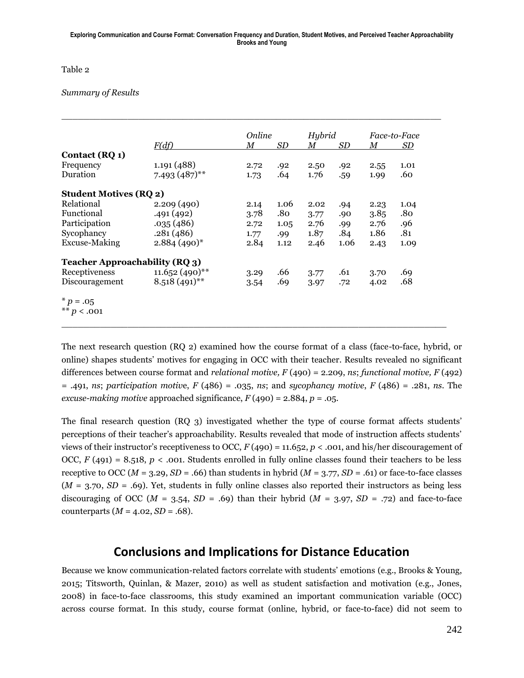#### Table 2

### *Summary of Results*

|                                       |                  | Online |           | Hybrid |      | Face-to-Face |      |
|---------------------------------------|------------------|--------|-----------|--------|------|--------------|------|
|                                       | F(df)            | М      | <i>SD</i> | М      | SD   | М            | SD   |
| Contact (RQ 1)                        |                  |        |           |        |      |              |      |
| Frequency                             | 1.191(488)       | 2.72   | .92       | 2.50   | .92  | 2.55         | 1.01 |
| Duration                              | $7.493(487)$ **  | 1.73   | .64       | 1.76   | .59  | 1.99         | .60  |
| <b>Student Motives (RQ 2)</b>         |                  |        |           |        |      |              |      |
| Relational                            | 2.209(490)       | 2.14   | 1.06      | 2.02   | .94  | 2.23         | 1.04 |
| Functional                            | .491(492)        | 3.78   | .80       | 3.77   | .90  | 3.85         | .80  |
| Participation                         | .035(486)        | 2.72   | 1.05      | 2.76   | .99  | 2.76         | .96  |
| Sycophancy                            | .281(486)        | 1.77   | .99       | 1.87   | .84  | 1.86         | .81  |
| <b>Excuse-Making</b>                  | $2.884(490)$ *   | 2.84   | 1.12      | 2.46   | 1.06 | 2.43         | 1.09 |
| <b>Teacher Approachability (RQ 3)</b> |                  |        |           |        |      |              |      |
| Receptiveness                         | $11.652(490)$ ** | 3.29   | .66       | 3.77   | .61  | 3.70         | .69  |
| Discouragement                        | $8.518(491)$ **  | 3.54   | .69       | 3.97   | .72  | 4.02         | .68  |
| $* p = .05$                           |                  |        |           |        |      |              |      |
| ** $p < .001$                         |                  |        |           |        |      |              |      |

The next research question (RQ 2) examined how the course format of a class (face-to-face, hybrid, or online) shapes students' motives for engaging in OCC with their teacher. Results revealed no significant differences between course format and *relational motive, F* (490) = 2.209, *ns*; *functional motive, F* (492) = .491, *ns*; *participation motiv*e, *F* (486) = .035, *ns*; and *sycophancy motive*, *F* (486) = .281, *ns*. The *excuse-making motive* approached significance,  $F(490) = 2.884$ ,  $p = .05$ .

 $\_$  ,  $\_$  ,  $\_$  ,  $\_$  ,  $\_$  ,  $\_$  ,  $\_$  ,  $\_$  ,  $\_$  ,  $\_$  ,  $\_$  ,  $\_$  ,  $\_$  ,  $\_$  ,  $\_$  ,  $\_$  ,  $\_$  ,  $\_$  ,  $\_$ 

The final research question (RQ 3) investigated whether the type of course format affects students' perceptions of their teacher's approachability. Results revealed that mode of instruction affects students' views of their instructor's receptiveness to OCC, *F* (490) = 11.652, *p* < .001, and his/her discouragement of OCC,  $F(491) = 8.518$ ,  $p < .001$ . Students enrolled in fully online classes found their teachers to be less receptive to OCC ( $M = 3.29$ ,  $SD = .66$ ) than students in hybrid ( $M = 3.77$ ,  $SD = .61$ ) or face-to-face classes  $(M = 3.70, SD = .69)$ . Yet, students in fully online classes also reported their instructors as being less discouraging of OCC ( $M = 3.54$ ,  $SD = .69$ ) than their hybrid ( $M = 3.97$ ,  $SD = .72$ ) and face-to-face counterparts  $(M = 4.02, SD = .68)$ .

## **Conclusions and Implications for Distance Education**

Because we know communication-related factors correlate with students' emotions (e.g., Brooks & Young, 2015; Titsworth, Quinlan, & Mazer, 2010) as well as student satisfaction and motivation (e.g., Jones, 2008) in face-to-face classrooms, this study examined an important communication variable (OCC) across course format. In this study, course format (online, hybrid, or face-to-face) did not seem to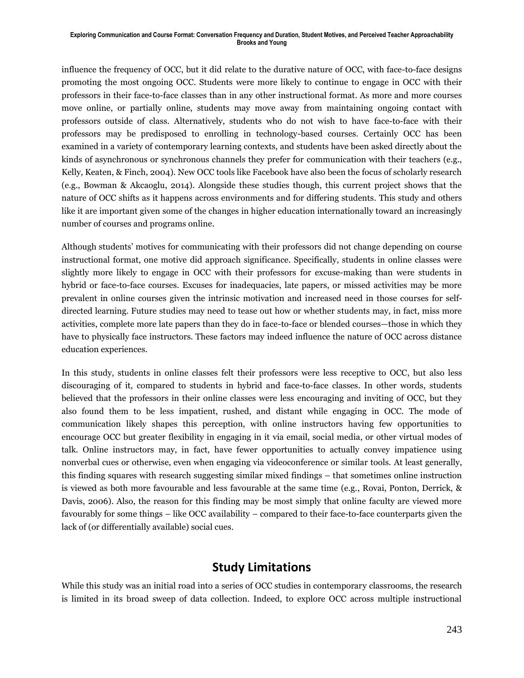influence the frequency of OCC, but it did relate to the durative nature of OCC, with face-to-face designs promoting the most ongoing OCC. Students were more likely to continue to engage in OCC with their professors in their face-to-face classes than in any other instructional format. As more and more courses move online, or partially online, students may move away from maintaining ongoing contact with professors outside of class. Alternatively, students who do not wish to have face-to-face with their professors may be predisposed to enrolling in technology-based courses. Certainly OCC has been examined in a variety of contemporary learning contexts, and students have been asked directly about the kinds of asynchronous or synchronous channels they prefer for communication with their teachers (e.g., Kelly, Keaten, & Finch, 2004). New OCC tools like Facebook have also been the focus of scholarly research (e.g., Bowman & Akcaoglu, 2014). Alongside these studies though, this current project shows that the nature of OCC shifts as it happens across environments and for differing students. This study and others like it are important given some of the changes in higher education internationally toward an increasingly number of courses and programs online.

Although students' motives for communicating with their professors did not change depending on course instructional format, one motive did approach significance. Specifically, students in online classes were slightly more likely to engage in OCC with their professors for excuse-making than were students in hybrid or face-to-face courses. Excuses for inadequacies, late papers, or missed activities may be more prevalent in online courses given the intrinsic motivation and increased need in those courses for selfdirected learning. Future studies may need to tease out how or whether students may, in fact, miss more activities, complete more late papers than they do in face-to-face or blended courses—those in which they have to physically face instructors. These factors may indeed influence the nature of OCC across distance education experiences.

In this study, students in online classes felt their professors were less receptive to OCC, but also less discouraging of it, compared to students in hybrid and face-to-face classes. In other words, students believed that the professors in their online classes were less encouraging and inviting of OCC, but they also found them to be less impatient, rushed, and distant while engaging in OCC. The mode of communication likely shapes this perception, with online instructors having few opportunities to encourage OCC but greater flexibility in engaging in it via email, social media, or other virtual modes of talk. Online instructors may, in fact, have fewer opportunities to actually convey impatience using nonverbal cues or otherwise, even when engaging via videoconference or similar tools. At least generally, this finding squares with research suggesting similar mixed findings – that sometimes online instruction is viewed as both more favourable and less favourable at the same time (e.g., Rovai, Ponton, Derrick, & Davis, 2006). Also, the reason for this finding may be most simply that online faculty are viewed more favourably for some things – like OCC availability – compared to their face-to-face counterparts given the lack of (or differentially available) social cues.

## **Study Limitations**

While this study was an initial road into a series of OCC studies in contemporary classrooms, the research is limited in its broad sweep of data collection. Indeed, to explore OCC across multiple instructional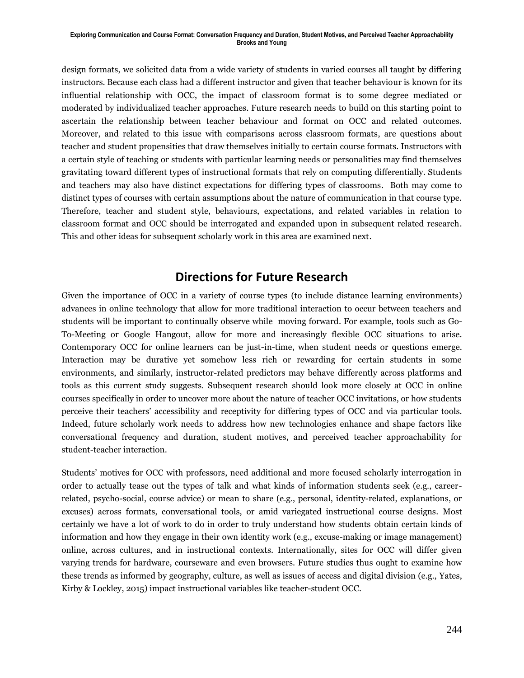design formats, we solicited data from a wide variety of students in varied courses all taught by differing instructors. Because each class had a different instructor and given that teacher behaviour is known for its influential relationship with OCC, the impact of classroom format is to some degree mediated or moderated by individualized teacher approaches. Future research needs to build on this starting point to ascertain the relationship between teacher behaviour and format on OCC and related outcomes. Moreover, and related to this issue with comparisons across classroom formats, are questions about teacher and student propensities that draw themselves initially to certain course formats. Instructors with a certain style of teaching or students with particular learning needs or personalities may find themselves gravitating toward different types of instructional formats that rely on computing differentially. Students and teachers may also have distinct expectations for differing types of classrooms. Both may come to distinct types of courses with certain assumptions about the nature of communication in that course type. Therefore, teacher and student style, behaviours, expectations, and related variables in relation to classroom format and OCC should be interrogated and expanded upon in subsequent related research. This and other ideas for subsequent scholarly work in this area are examined next.

## **Directions for Future Research**

Given the importance of OCC in a variety of course types (to include distance learning environments) advances in online technology that allow for more traditional interaction to occur between teachers and students will be important to continually observe while moving forward. For example, tools such as Go-To-Meeting or Google Hangout, allow for more and increasingly flexible OCC situations to arise. Contemporary OCC for online learners can be just-in-time, when student needs or questions emerge. Interaction may be durative yet somehow less rich or rewarding for certain students in some environments, and similarly, instructor-related predictors may behave differently across platforms and tools as this current study suggests. Subsequent research should look more closely at OCC in online courses specifically in order to uncover more about the nature of teacher OCC invitations, or how students perceive their teachers' accessibility and receptivity for differing types of OCC and via particular tools. Indeed, future scholarly work needs to address how new technologies enhance and shape factors like conversational frequency and duration, student motives, and perceived teacher approachability for student-teacher interaction.

Students' motives for OCC with professors, need additional and more focused scholarly interrogation in order to actually tease out the types of talk and what kinds of information students seek (e.g., careerrelated, psycho-social, course advice) or mean to share (e.g., personal, identity-related, explanations, or excuses) across formats, conversational tools, or amid variegated instructional course designs. Most certainly we have a lot of work to do in order to truly understand how students obtain certain kinds of information and how they engage in their own identity work (e.g., excuse-making or image management) online, across cultures, and in instructional contexts. Internationally, sites for OCC will differ given varying trends for hardware, courseware and even browsers. Future studies thus ought to examine how these trends as informed by geography, culture, as well as issues of access and digital division (e.g., Yates, Kirby & Lockley, 2015) impact instructional variables like teacher-student OCC.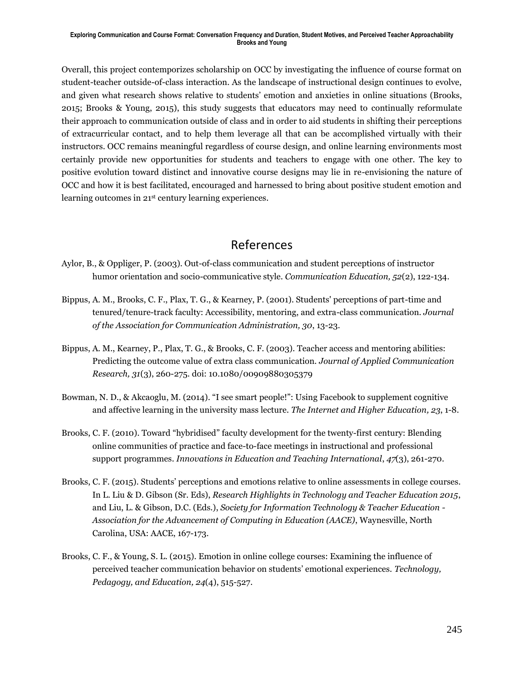Overall, this project contemporizes scholarship on OCC by investigating the influence of course format on student-teacher outside-of-class interaction. As the landscape of instructional design continues to evolve, and given what research shows relative to students' emotion and anxieties in online situations (Brooks, 2015; Brooks & Young, 2015), this study suggests that educators may need to continually reformulate their approach to communication outside of class and in order to aid students in shifting their perceptions of extracurricular contact, and to help them leverage all that can be accomplished virtually with their instructors. OCC remains meaningful regardless of course design, and online learning environments most certainly provide new opportunities for students and teachers to engage with one other. The key to positive evolution toward distinct and innovative course designs may lie in re-envisioning the nature of OCC and how it is best facilitated, encouraged and harnessed to bring about positive student emotion and learning outcomes in 21st century learning experiences.

### References

- Aylor, B., & Oppliger, P. (2003). Out-of-class communication and student perceptions of instructor humor orientation and socio-communicative style. *Communication Education, 52*(2), 122-134.
- Bippus, A. M., Brooks, C. F., Plax, T. G., & Kearney, P. (2001). Students' perceptions of part-time and tenured/tenure-track faculty: Accessibility, mentoring, and extra-class communication. *Journal of the Association for Communication Administration, 30*, 13-23.
- Bippus, A. M., Kearney, P., Plax, T. G., & Brooks, C. F. (2003). Teacher access and mentoring abilities: Predicting the outcome value of extra class communication. *Journal of Applied Communication Research, 31*(3), 260-275. doi: 10.1080/00909880305379
- Bowman, N. D., & Akcaoglu, M. (2014). "I see smart people!": Using Facebook to supplement cognitive and affective learning in the university mass lecture. *The Internet and Higher Education, 23*, 1-8.
- Brooks, C. F. (2010). Toward "hybridised" faculty development for the twenty-first century: Blending online communities of practice and face-to-face meetings in instructional and professional support programmes. *Innovations in Education and Teaching International*, *47*(3), 261-270.
- Brooks, C. F. (2015). Students' perceptions and emotions relative to online assessments in college courses. In L. Liu & D. Gibson (Sr. Eds), *Research Highlights in Technology and Teacher Education 2015*, and Liu, L. & Gibson, D.C. (Eds.), *Society for Information Technology & Teacher Education - Association for the Advancement of Computing in Education (AACE)*, Waynesville, North Carolina, USA: AACE, 167-173.
- Brooks, C. F., & Young, S. L. (2015). Emotion in online college courses: Examining the influence of perceived teacher communication behavior on students' emotional experiences. *Technology, Pedagogy, and Education, 24*(4), 515-527.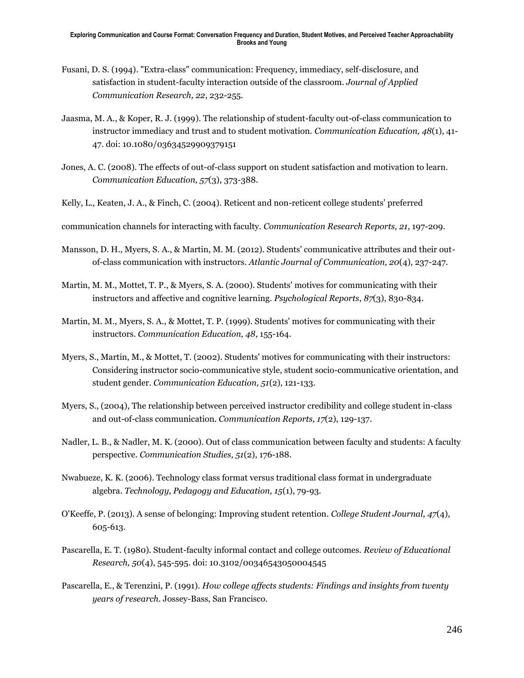- Fusani, D. S. (1994). "Extra-class" communication: Frequency, immediacy, self-disclosure, and satisfaction in student-faculty interaction outside of the classroom. *Journal of Applied Communication Research, 22*, 232-255.
- Jaasma, M. A., & Koper, R. J. (1999). The relationship of student-faculty out-of-class communication to instructor immediacy and trust and to student motivation. *Communication Education, 48*(1), 41- 47. doi: 10.1080/03634529909379151
- Jones, A. C. (2008). The effects of out-of-class support on student satisfaction and motivation to learn. *Communication Education, 57*(3), 373-388.
- Kelly, L., Keaten, J. A., & Finch, C. (2004). Reticent and non-reticent college students' preferred
- communication channels for interacting with faculty. *Communication Research Reports, 21*, 197-209.
- Mansson, D. H., Myers, S. A., & Martin, M. M. (2012). Students' communicative attributes and their outof-class communication with instructors. *Atlantic Journal of Communication, 20*(4), 237-247.
- Martin, M. M., Mottet, T. P., & Myers, S. A. (2000). Students' motives for communicating with their instructors and affective and cognitive learning. *Psychological Reports*, *87*(3), 830-834.
- Martin, M. M., Myers, S. A., & Mottet, T. P. (1999). Students' motives for communicating with their instructors. *Communication Education, 48*, 155-164.
- Myers, S., Martin, M., & Mottet, T. (2002). Students' motives for communicating with their instructors: Considering instructor socio-communicative style, student socio-communicative orientation, and student gender. *Communication Education, 51*(2), 121-133.
- Myers, S., (2004), The relationship between perceived instructor credibility and college student in-class and out-of-class communication. *Communication Reports, 17*(2), 129-137.
- Nadler, L. B., & Nadler, M. K. (2000). Out of class communication between faculty and students: A faculty perspective. *Communication Studies, 51*(2), 176-188.
- Nwabueze, K. K. (2006). Technology class format versus traditional class format in undergraduate algebra. *Technology, Pedagogy and Education, 15*(1), 79-93.
- O'Keeffe, P. (2013). A sense of belonging: Improving student retention. *College Student Journal, 47*(4), 605-613.
- Pascarella, E. T. (1980). Student-faculty informal contact and college outcomes. *Review of Educational Research, 50*(4), 545-595. doi: 10.3102/00346543050004545
- Pascarella, E., & Terenzini, P. (1991). *How college affects students: Findings and insights from twenty years of research*. Jossey-Bass, San Francisco.